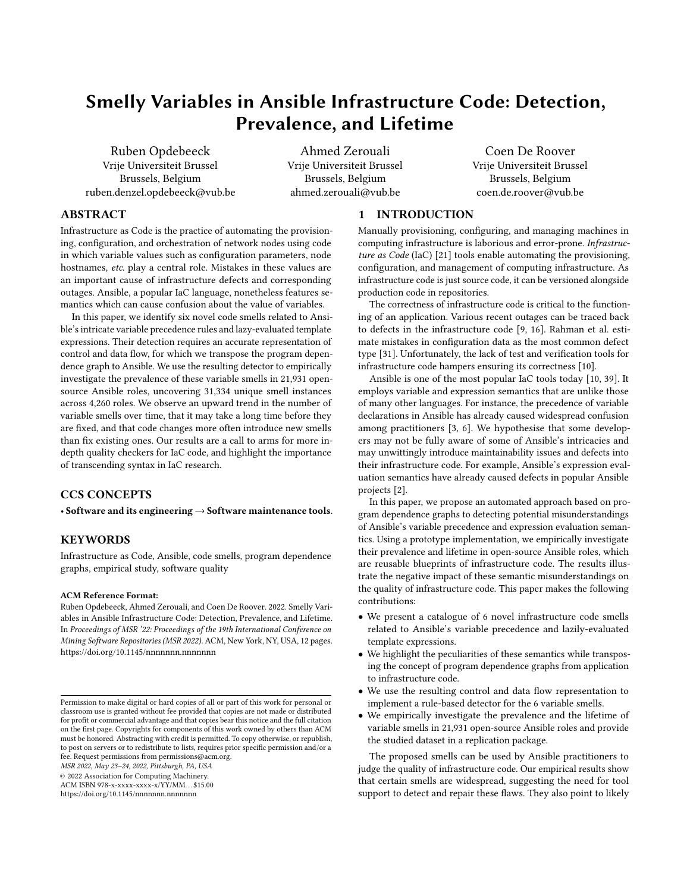# Smelly Variables in Ansible Infrastructure Code: Detection, Prevalence, and Lifetime

[Ruben Opdebeeck](https://orcid.org/0000-0002-0938-4843) Vrije Universiteit Brussel Brussels, Belgium ruben.denzel.opdebeeck@vub.be

[Ahmed Zerouali](https://orcid.org/0000-0002-2676-3730) Vrije Universiteit Brussel Brussels, Belgium ahmed.zerouali@vub.be

[Coen De Roover](https://orcid.org/0000-0002-1710-1268) Vrije Universiteit Brussel Brussels, Belgium coen.de.roover@vub.be

# ABSTRACT

Infrastructure as Code is the practice of automating the provisioning, configuration, and orchestration of network nodes using code in which variable values such as configuration parameters, node hostnames, etc. play a central role. Mistakes in these values are an important cause of infrastructure defects and corresponding outages. Ansible, a popular IaC language, nonetheless features semantics which can cause confusion about the value of variables.

In this paper, we identify six novel code smells related to Ansible's intricate variable precedence rules and lazy-evaluated template expressions. Their detection requires an accurate representation of control and data flow, for which we transpose the program dependence graph to Ansible. We use the resulting detector to empirically investigate the prevalence of these variable smells in 21,931 opensource Ansible roles, uncovering 31,334 unique smell instances across 4,260 roles. We observe an upward trend in the number of variable smells over time, that it may take a long time before they are fixed, and that code changes more often introduce new smells than fix existing ones. Our results are a call to arms for more indepth quality checkers for IaC code, and highlight the importance of transcending syntax in IaC research.

# CCS CONCEPTS

• Software and its engineering  $\rightarrow$  Software maintenance tools.

# **KEYWORDS**

Infrastructure as Code, Ansible, code smells, program dependence graphs, empirical study, software quality

#### ACM Reference Format:

Ruben Opdebeeck, Ahmed Zerouali, and Coen De Roover. 2022. Smelly Variables in Ansible Infrastructure Code: Detection, Prevalence, and Lifetime. In Proceedings of MSR '22: Proceedings of the 19th International Conference on Mining Software Repositories (MSR 2022). ACM, New York, NY, USA, [12](#page-11-0) pages. <https://doi.org/10.1145/nnnnnnn.nnnnnnn>

MSR 2022, May 23–24, 2022, Pittsburgh, PA, USA

© 2022 Association for Computing Machinery.

ACM ISBN 978-x-xxxx-xxxx-x/YY/MM. . . \$15.00

<https://doi.org/10.1145/nnnnnnn.nnnnnnn>

## 1 INTRODUCTION

Manually provisioning, configuring, and managing machines in computing infrastructure is laborious and error-prone. Infrastructure as Code (IaC) [\[21\]](#page-11-1) tools enable automating the provisioning, configuration, and management of computing infrastructure. As infrastructure code is just source code, it can be versioned alongside production code in repositories.

The correctness of infrastructure code is critical to the functioning of an application. Various recent outages can be traced back to defects in the infrastructure code [\[9,](#page-10-0) [16\]](#page-10-1). Rahman et al. estimate mistakes in configuration data as the most common defect type [\[31\]](#page-11-2). Unfortunately, the lack of test and verification tools for infrastructure code hampers ensuring its correctness [\[10\]](#page-10-2).

Ansible is one of the most popular IaC tools today [\[10,](#page-10-2) [39\]](#page-11-3). It employs variable and expression semantics that are unlike those of many other languages. For instance, the precedence of variable declarations in Ansible has already caused widespread confusion among practitioners [\[3,](#page-10-3) [6\]](#page-10-4). We hypothesise that some developers may not be fully aware of some of Ansible's intricacies and may unwittingly introduce maintainability issues and defects into their infrastructure code. For example, Ansible's expression evaluation semantics have already caused defects in popular Ansible projects [\[2\]](#page-10-5).

In this paper, we propose an automated approach based on program dependence graphs to detecting potential misunderstandings of Ansible's variable precedence and expression evaluation semantics. Using a prototype implementation, we empirically investigate their prevalence and lifetime in open-source Ansible roles, which are reusable blueprints of infrastructure code. The results illustrate the negative impact of these semantic misunderstandings on the quality of infrastructure code. This paper makes the following contributions:

- We present a catalogue of 6 novel infrastructure code smells related to Ansible's variable precedence and lazily-evaluated template expressions.
- We highlight the peculiarities of these semantics while transposing the concept of program dependence graphs from application to infrastructure code.
- We use the resulting control and data flow representation to implement a rule-based detector for the 6 variable smells.
- We empirically investigate the prevalence and the lifetime of variable smells in 21,931 open-source Ansible roles and provide the studied dataset in a replication package.

The proposed smells can be used by Ansible practitioners to judge the quality of infrastructure code. Our empirical results show that certain smells are widespread, suggesting the need for tool support to detect and repair these flaws. They also point to likely

Permission to make digital or hard copies of all or part of this work for personal or classroom use is granted without fee provided that copies are not made or distributed for profit or commercial advantage and that copies bear this notice and the full citation on the first page. Copyrights for components of this work owned by others than ACM must be honored. Abstracting with credit is permitted. To copy otherwise, or republish, to post on servers or to redistribute to lists, requires prior specific permission and/or a fee. Request permissions from permissions@acm.org.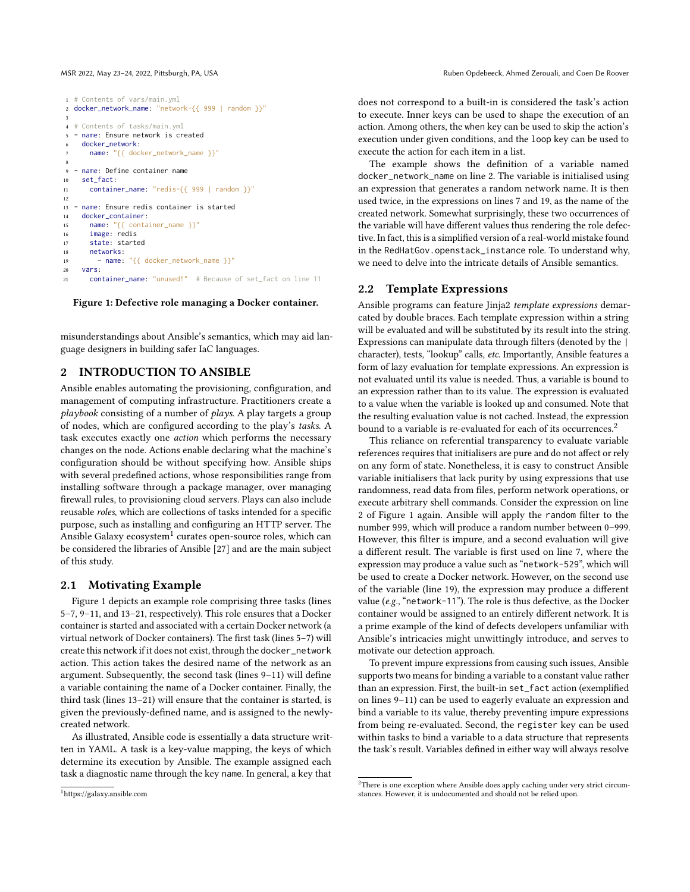#### MSR 2022, May 23–24, 2022, Pittsburgh, PA, USA Ruben Opdebeeck, Ahmed Zerouali, and Coen De Roover

```
1 # Contents of vars/main.yml
2 docker_network_name: "network-{{ 999 | random }}"
 3
4 # Contents of tasks/main.yml
5 - name: Ensure network is created
    docker_network:
      name: "{{ docker_network_name }}"
 8
9 - name: Define container name
10 set fact:
11 container name: "redis-{{ 999 | random }}"
12
13 - name: Ensure redis container is started
14 docker_container:
15 name: "{{ container_name }}"
16 image: redis
17 state: started
18 networks:
19 - name: "{{ docker_network_name }}"
20 vars:
21 container_name: "unused!" # Because of set_fact on line 11
```
Figure 1: Defective role managing a Docker container.

misunderstandings about Ansible's semantics, which may aid language designers in building safer IaC languages.

# <span id="page-1-3"></span>2 INTRODUCTION TO ANSIBLE

Ansible enables automating the provisioning, configuration, and management of computing infrastructure. Practitioners create a playbook consisting of a number of plays. A play targets a group of nodes, which are configured according to the play's tasks. A task executes exactly one action which performs the necessary changes on the node. Actions enable declaring what the machine's configuration should be without specifying how. Ansible ships with several predefined actions, whose responsibilities range from installing software through a package manager, over managing firewall rules, to provisioning cloud servers. Plays can also include reusable roles, which are collections of tasks intended for a specific purpose, such as installing and configuring an HTTP server. The Ansible Galaxy ecosystem<sup>[1](#page-1-0)</sup> curates open-source roles, which can be considered the libraries of Ansible [\[27\]](#page-11-4) and are the main subject of this study.

#### 2.1 Motivating Example

Figure [1](#page-1-1) depicts an example role comprising three tasks (lines 5–7, 9–11, and 13–21, respectively). This role ensures that a Docker container is started and associated with a certain Docker network (a virtual network of Docker containers). The first task (lines 5–7) will create this network if it does not exist, through the docker\_network action. This action takes the desired name of the network as an argument. Subsequently, the second task (lines 9–11) will define a variable containing the name of a Docker container. Finally, the third task (lines 13–21) will ensure that the container is started, is given the previously-defined name, and is assigned to the newlycreated network.

As illustrated, Ansible code is essentially a data structure written in YAML. A task is a key-value mapping, the keys of which determine its execution by Ansible. The example assigned each task a diagnostic name through the key name. In general, a key that

does not correspond to a built-in is considered the task's action to execute. Inner keys can be used to shape the execution of an action. Among others, the when key can be used to skip the action's execution under given conditions, and the loop key can be used to execute the action for each item in a list.

The example shows the definition of a variable named docker\_network\_name on line 2. The variable is initialised using an expression that generates a random network name. It is then used twice, in the expressions on lines 7 and 19, as the name of the created network. Somewhat surprisingly, these two occurrences of the variable will have different values thus rendering the role defective. In fact, this is a simplified version of a real-world mistake found in the RedHatGov.openstack\_instance role. To understand why, we need to delve into the intricate details of Ansible semantics.

#### 2.2 Template Expressions

Ansible programs can feature Jinja2 template expressions demarcated by double braces. Each template expression within a string will be evaluated and will be substituted by its result into the string. Expressions can manipulate data through filters (denoted by the | character), tests, "lookup" calls, etc. Importantly, Ansible features a form of lazy evaluation for template expressions. An expression is not evaluated until its value is needed. Thus, a variable is bound to an expression rather than to its value. The expression is evaluated to a value when the variable is looked up and consumed. Note that the resulting evaluation value is not cached. Instead, the expression bound to a variable is re-evaluated for each of its occurrences.<sup>[2](#page-1-2)</sup>

This reliance on referential transparency to evaluate variable references requires that initialisers are pure and do not affect or rely on any form of state. Nonetheless, it is easy to construct Ansible variable initialisers that lack purity by using expressions that use randomness, read data from files, perform network operations, or execute arbitrary shell commands. Consider the expression on line 2 of Figure [1](#page-1-1) again. Ansible will apply the random filter to the number 999, which will produce a random number between 0–999. However, this filter is impure, and a second evaluation will give a different result. The variable is first used on line 7, where the expression may produce a value such as "network-529", which will be used to create a Docker network. However, on the second use of the variable (line 19), the expression may produce a different value (e.g., "network-11"). The role is thus defective, as the Docker container would be assigned to an entirely different network. It is a prime example of the kind of defects developers unfamiliar with Ansible's intricacies might unwittingly introduce, and serves to motivate our detection approach.

To prevent impure expressions from causing such issues, Ansible supports two means for binding a variable to a constant value rather than an expression. First, the built-in set\_fact action (exemplified on lines 9–11) can be used to eagerly evaluate an expression and bind a variable to its value, thereby preventing impure expressions from being re-evaluated. Second, the register key can be used within tasks to bind a variable to a data structure that represents the task's result. Variables defined in either way will always resolve

<span id="page-1-0"></span><sup>1</sup><https://galaxy.ansible.com>

<span id="page-1-2"></span> $2$ There is one exception where Ansible does apply caching under very strict circumstances. However, it is undocumented and should not be relied upon.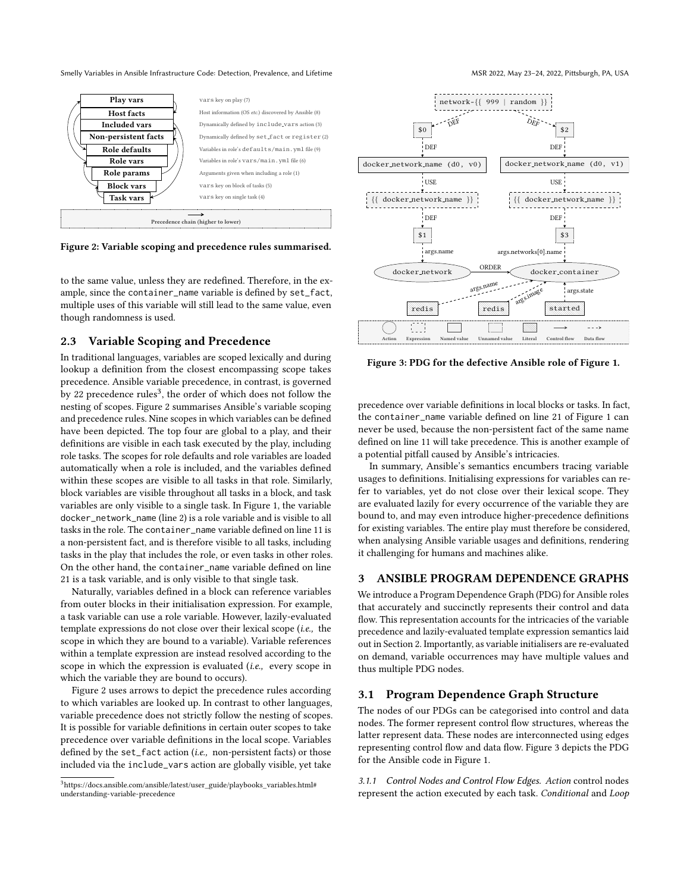<span id="page-2-1"></span>

Figure 2: Variable scoping and precedence rules summarised.

to the same value, unless they are redefined. Therefore, in the example, since the container\_name variable is defined by set\_fact, multiple uses of this variable will still lead to the same value, even though randomness is used.

### <span id="page-2-3"></span>2.3 Variable Scoping and Precedence

In traditional languages, variables are scoped lexically and during lookup a definition from the closest encompassing scope takes precedence. Ansible variable precedence, in contrast, is governed by 22 precedence rules<sup>[3](#page-2-0)</sup>, the order of which does not follow the nesting of scopes. Figure [2](#page-2-1) summarises Ansible's variable scoping and precedence rules. Nine scopes in which variables can be defined have been depicted. The top four are global to a play, and their definitions are visible in each task executed by the play, including role tasks. The scopes for role defaults and role variables are loaded automatically when a role is included, and the variables defined within these scopes are visible to all tasks in that role. Similarly, block variables are visible throughout all tasks in a block, and task variables are only visible to a single task. In Figure [1,](#page-1-1) the variable docker\_network\_name (line 2) is a role variable and is visible to all tasks in the role. The container name variable defined on line 11 is a non-persistent fact, and is therefore visible to all tasks, including tasks in the play that includes the role, or even tasks in other roles. On the other hand, the container\_name variable defined on line 21 is a task variable, and is only visible to that single task.

Naturally, variables defined in a block can reference variables from outer blocks in their initialisation expression. For example, a task variable can use a role variable. However, lazily-evaluated template expressions do not close over their lexical scope (i.e., the scope in which they are bound to a variable). Variable references within a template expression are instead resolved according to the scope in which the expression is evaluated (i.e., every scope in which the variable they are bound to occurs).

Figure [2](#page-2-1) uses arrows to depict the precedence rules according to which variables are looked up. In contrast to other languages, variable precedence does not strictly follow the nesting of scopes. It is possible for variable definitions in certain outer scopes to take precedence over variable definitions in the local scope. Variables defined by the set\_fact action (*i.e.*, non-persistent facts) or those included via the include\_vars action are globally visible, yet take

<span id="page-2-2"></span>

Figure 3: PDG for the defective Ansible role of Figure [1.](#page-1-1)

precedence over variable definitions in local blocks or tasks. In fact, the container\_name variable defined on line 21 of Figure [1](#page-1-1) can never be used, because the non-persistent fact of the same name defined on line 11 will take precedence. This is another example of a potential pitfall caused by Ansible's intricacies.

In summary, Ansible's semantics encumbers tracing variable usages to definitions. Initialising expressions for variables can refer to variables, yet do not close over their lexical scope. They are evaluated lazily for every occurrence of the variable they are bound to, and may even introduce higher-precedence definitions for existing variables. The entire play must therefore be considered, when analysing Ansible variable usages and definitions, rendering it challenging for humans and machines alike.

# 3 ANSIBLE PROGRAM DEPENDENCE GRAPHS

We introduce a Program Dependence Graph (PDG) for Ansible roles that accurately and succinctly represents their control and data flow. This representation accounts for the intricacies of the variable precedence and lazily-evaluated template expression semantics laid out in Section [2.](#page-1-3) Importantly, as variable initialisers are re-evaluated on demand, variable occurrences may have multiple values and thus multiple PDG nodes.

#### 3.1 Program Dependence Graph Structure

The nodes of our PDGs can be categorised into control and data nodes. The former represent control flow structures, whereas the latter represent data. These nodes are interconnected using edges representing control flow and data flow. Figure [3](#page-2-2) depicts the PDG for the Ansible code in Figure [1.](#page-1-1)

3.1.1 Control Nodes and Control Flow Edges. Action control nodes represent the action executed by each task. Conditional and Loop

<span id="page-2-0"></span> $3$ [https://docs.ansible.com/ansible/latest/user\\_guide/playbooks\\_variables.html#](https://docs.ansible.com/ansible/latest/user_guide/playbooks_variables.html#understanding-variable-precedence) [understanding-variable-precedence](https://docs.ansible.com/ansible/latest/user_guide/playbooks_variables.html#understanding-variable-precedence)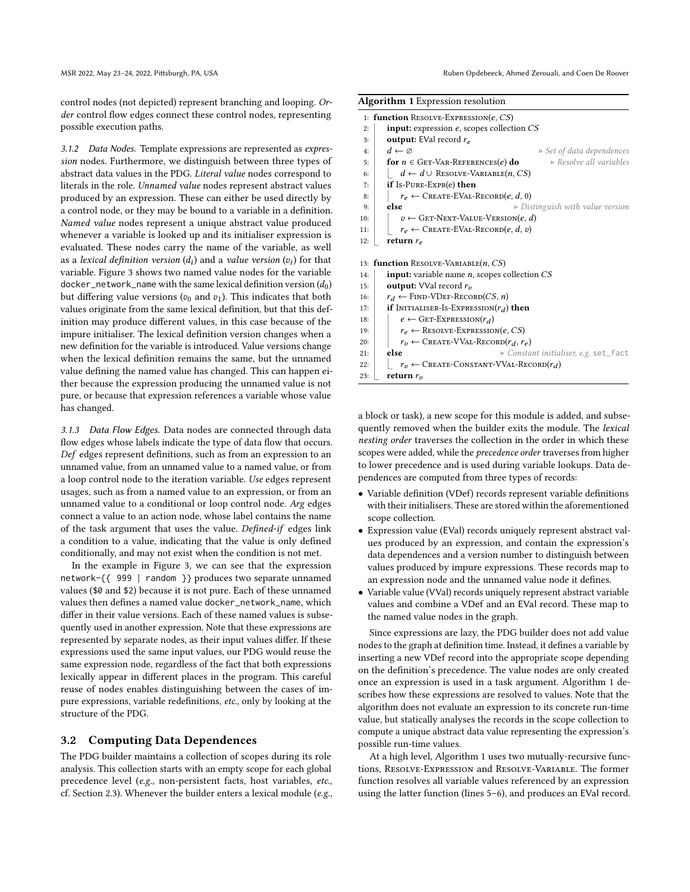control nodes (not depicted) represent branching and looping. Order control flow edges connect these control nodes, representing possible execution paths.

3.1.2 Data Nodes. Template expressions are represented as expression nodes. Furthermore, we distinguish between three types of abstract data values in the PDG. Literal value nodes correspond to literals in the role. Unnamed value nodes represent abstract values produced by an expression. These can either be used directly by a control node, or they may be bound to a variable in a definition. Named value nodes represent a unique abstract value produced whenever a variable is looked up and its initialiser expression is evaluated. These nodes carry the name of the variable, as well as a *lexical definition version*  $(d_i)$  and a *value version*  $(v_i)$  for that variable. Figure [3](#page-2-2) shows two named value nodes for the variable docker\_network\_name with the same lexical definition version  $(d_0)$ but differing value versions ( $v_0$  and  $v_1$ ). This indicates that both values originate from the same lexical definition, but that this definition may produce different values, in this case because of the impure initialiser. The lexical definition version changes when a new definition for the variable is introduced. Value versions change when the lexical definition remains the same, but the unnamed value defining the named value has changed. This can happen either because the expression producing the unnamed value is not pure, or because that expression references a variable whose value has changed.

3.1.3 Data Flow Edges. Data nodes are connected through data flow edges whose labels indicate the type of data flow that occurs. Def edges represent definitions, such as from an expression to an unnamed value, from an unnamed value to a named value, or from a loop control node to the iteration variable. Use edges represent usages, such as from a named value to an expression, or from an unnamed value to a conditional or loop control node. Arg edges connect a value to an action node, whose label contains the name of the task argument that uses the value. Defined-if edges link a condition to a value, indicating that the value is only defined conditionally, and may not exist when the condition is not met.

In the example in Figure [3,](#page-2-2) we can see that the expression network-{{ 999 | random }} produces two separate unnamed values (\$0 and \$2) because it is not pure. Each of these unnamed values then defines a named value docker\_network\_name, which differ in their value versions. Each of these named values is subsequently used in another expression. Note that these expressions are represented by separate nodes, as their input values differ. If these expressions used the same input values, our PDG would reuse the same expression node, regardless of the fact that both expressions lexically appear in different places in the program. This careful reuse of nodes enables distinguishing between the cases of impure expressions, variable redefinitions, etc., only by looking at the structure of the PDG.

#### <span id="page-3-1"></span>3.2 Computing Data Dependences

The PDG builder maintains a collection of scopes during its role analysis. This collection starts with an empty scope for each global precedence level (e.g., non-persistent facts, host variables, etc., cf. Section [2.3\)](#page-2-3). Whenever the builder enters a lexical module (e.g.,

<span id="page-3-0"></span>

| <b>Algorithm 1</b> Expression resolution |                                                                                       |  |  |  |
|------------------------------------------|---------------------------------------------------------------------------------------|--|--|--|
|                                          | 1: function RESOLVE-EXPRESSION $(e, CS)$                                              |  |  |  |
| 2:                                       | <b>input:</b> expression $e$ , scopes collection $CS$                                 |  |  |  |
| 3:                                       | <b>output:</b> EVal record $r_e$                                                      |  |  |  |
| 4:                                       | $d \leftarrow \emptyset$<br>$\triangleright$ Set of data dependences                  |  |  |  |
| 5:                                       | $\triangleright$ Resolve all variables<br>for $n \in \text{GET-VAR-REFERENCES}(e)$ do |  |  |  |
| 6:                                       | $d \leftarrow d \cup$ RESOLVE-VARIABLE $(n, CS)$                                      |  |  |  |
| 7:                                       | if Is-PURE-EXPR(e) then                                                               |  |  |  |
| 8:                                       | $r_e \leftarrow$ CREATE-EVAL-RECORD $(e, d, 0)$                                       |  |  |  |
| 9:                                       | else<br>$\triangleright$ Distinguish with value version                               |  |  |  |
| 10:                                      | $v \leftarrow$ GET-NEXT-VALUE-VERSION $(e, d)$                                        |  |  |  |
| 11:                                      | $r_e \leftarrow$ CREATE-EVAL-RECORD $(e, d, v)$                                       |  |  |  |
| 12:                                      | return $r_e$                                                                          |  |  |  |
|                                          |                                                                                       |  |  |  |
|                                          | 13: function RESOLVE-VARIABLE $(n, CS)$                                               |  |  |  |
| 14:                                      | <b>input:</b> variable name $n$ , scopes collection $CS$                              |  |  |  |
| 15:                                      | output: VVal record $r_v$                                                             |  |  |  |
| 16:                                      | $r_d \leftarrow$ FIND-VDEF-RECORD(CS, n)                                              |  |  |  |
| 17:                                      | <b>if</b> INITIALISER-IS-EXPRESSION $(r_d)$ then                                      |  |  |  |
| 18:                                      | $e \leftarrow$ GET-EXPRESSION $(r_d)$                                                 |  |  |  |
| 19:                                      | $r_e \leftarrow$ RESOLVE-EXPRESSION(e, CS)                                            |  |  |  |
| 20:                                      | $r_v \leftarrow$ CREATE-VVAL-RECORD $(r_d, r_e)$                                      |  |  |  |
| 21:                                      | else<br>► Constant initialiser, e.g. set_fact                                         |  |  |  |
| 22:                                      | $r_v \leftarrow$ CREATE-CONSTANT-VVAL-RECORD $(r_d)$                                  |  |  |  |
| 23:                                      | return $r_n$                                                                          |  |  |  |
|                                          |                                                                                       |  |  |  |

a block or task), a new scope for this module is added, and subsequently removed when the builder exits the module. The lexical nesting order traverses the collection in the order in which these scopes were added, while the precedence order traverses from higher to lower precedence and is used during variable lookups. Data dependences are computed from three types of records:

- Variable definition (VDef) records represent variable definitions with their initialisers. These are stored within the aforementioned scope collection.
- Expression value (EVal) records uniquely represent abstract values produced by an expression, and contain the expression's data dependences and a version number to distinguish between values produced by impure expressions. These records map to an expression node and the unnamed value node it defines.
- Variable value (VVal) records uniquely represent abstract variable values and combine a VDef and an EVal record. These map to the named value nodes in the graph.

Since expressions are lazy, the PDG builder does not add value nodes to the graph at definition time. Instead, it defines a variable by inserting a new VDef record into the appropriate scope depending on the definition's precedence. The value nodes are only created once an expression is used in a task argument. Algorithm [1](#page-3-0) describes how these expressions are resolved to values. Note that the algorithm does not evaluate an expression to its concrete run-time value, but statically analyses the records in the scope collection to compute a unique abstract data value representing the expression's possible run-time values.

At a high level, Algorithm [1](#page-3-0) uses two mutually-recursive functions, Resolve-Expression and Resolve-Variable. The former function resolves all variable values referenced by an expression using the latter function (lines 5–6), and produces an EVal record.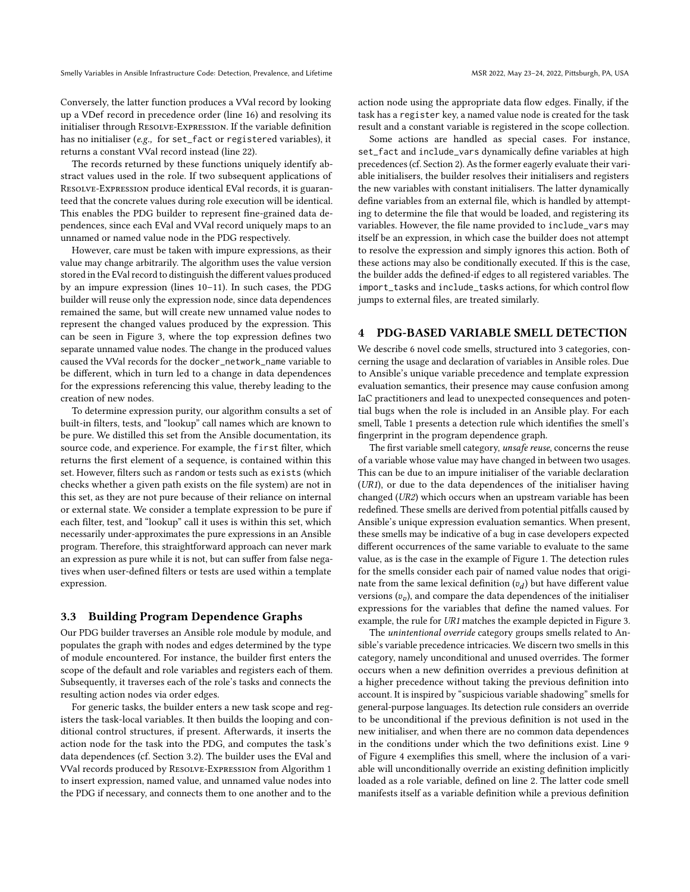Conversely, the latter function produces a VVal record by looking up a VDef record in precedence order (line 16) and resolving its initialiser through Resolve-Expression. If the variable definition has no initialiser (e.g., for set\_fact or registered variables), it returns a constant VVal record instead (line 22).

The records returned by these functions uniquely identify abstract values used in the role. If two subsequent applications of Resolve-Expression produce identical EVal records, it is guaranteed that the concrete values during role execution will be identical. This enables the PDG builder to represent fine-grained data dependences, since each EVal and VVal record uniquely maps to an unnamed or named value node in the PDG respectively.

However, care must be taken with impure expressions, as their value may change arbitrarily. The algorithm uses the value version stored in the EVal record to distinguish the different values produced by an impure expression (lines 10–11). In such cases, the PDG builder will reuse only the expression node, since data dependences remained the same, but will create new unnamed value nodes to represent the changed values produced by the expression. This can be seen in Figure [3,](#page-2-2) where the top expression defines two separate unnamed value nodes. The change in the produced values caused the VVal records for the docker\_network\_name variable to be different, which in turn led to a change in data dependences for the expressions referencing this value, thereby leading to the creation of new nodes.

To determine expression purity, our algorithm consults a set of built-in filters, tests, and "lookup" call names which are known to be pure. We distilled this set from the Ansible documentation, its source code, and experience. For example, the first filter, which returns the first element of a sequence, is contained within this set. However, filters such as random or tests such as exists (which checks whether a given path exists on the file system) are not in this set, as they are not pure because of their reliance on internal or external state. We consider a template expression to be pure if each filter, test, and "lookup" call it uses is within this set, which necessarily under-approximates the pure expressions in an Ansible program. Therefore, this straightforward approach can never mark an expression as pure while it is not, but can suffer from false negatives when user-defined filters or tests are used within a template expression.

### 3.3 Building Program Dependence Graphs

Our PDG builder traverses an Ansible role module by module, and populates the graph with nodes and edges determined by the type of module encountered. For instance, the builder first enters the scope of the default and role variables and registers each of them. Subsequently, it traverses each of the role's tasks and connects the resulting action nodes via order edges.

For generic tasks, the builder enters a new task scope and registers the task-local variables. It then builds the looping and conditional control structures, if present. Afterwards, it inserts the action node for the task into the PDG, and computes the task's data dependences (cf. Section [3.2\)](#page-3-1). The builder uses the EVal and VVal records produced by Resolve-Expression from Algorithm [1](#page-3-0) to insert expression, named value, and unnamed value nodes into the PDG if necessary, and connects them to one another and to the

action node using the appropriate data flow edges. Finally, if the task has a register key, a named value node is created for the task result and a constant variable is registered in the scope collection.

Some actions are handled as special cases. For instance, set\_fact and include\_vars dynamically define variables at high precedences (cf. Section [2\)](#page-1-3). As the former eagerly evaluate their variable initialisers, the builder resolves their initialisers and registers the new variables with constant initialisers. The latter dynamically define variables from an external file, which is handled by attempting to determine the file that would be loaded, and registering its variables. However, the file name provided to include\_vars may itself be an expression, in which case the builder does not attempt to resolve the expression and simply ignores this action. Both of these actions may also be conditionally executed. If this is the case, the builder adds the defined-if edges to all registered variables. The import\_tasks and include\_tasks actions, for which control flow jumps to external files, are treated similarly.

# <span id="page-4-0"></span>4 PDG-BASED VARIABLE SMELL DETECTION

We describe 6 novel code smells, structured into 3 categories, concerning the usage and declaration of variables in Ansible roles. Due to Ansible's unique variable precedence and template expression evaluation semantics, their presence may cause confusion among IaC practitioners and lead to unexpected consequences and potential bugs when the role is included in an Ansible play. For each smell, Table [1](#page-5-0) presents a detection rule which identifies the smell's fingerprint in the program dependence graph.

The first variable smell category, unsafe reuse, concerns the reuse of a variable whose value may have changed in between two usages. This can be due to an impure initialiser of the variable declaration (UR1), or due to the data dependences of the initialiser having changed (UR2) which occurs when an upstream variable has been redefined. These smells are derived from potential pitfalls caused by Ansible's unique expression evaluation semantics. When present, these smells may be indicative of a bug in case developers expected different occurrences of the same variable to evaluate to the same value, as is the case in the example of Figure [1.](#page-1-1) The detection rules for the smells consider each pair of named value nodes that originate from the same lexical definition  $(v_d)$  but have different value versions  $(v_v)$ , and compare the data dependences of the initialiser expressions for the variables that define the named values. For example, the rule for UR1 matches the example depicted in Figure [3.](#page-2-2)

The unintentional override category groups smells related to Ansible's variable precedence intricacies. We discern two smells in this category, namely unconditional and unused overrides. The former occurs when a new definition overrides a previous definition at a higher precedence without taking the previous definition into account. It is inspired by "suspicious variable shadowing" smells for general-purpose languages. Its detection rule considers an override to be unconditional if the previous definition is not used in the new initialiser, and when there are no common data dependences in the conditions under which the two definitions exist. Line 9 of Figure [4](#page-5-1) exemplifies this smell, where the inclusion of a variable will unconditionally override an existing definition implicitly loaded as a role variable, defined on line 2. The latter code smell manifests itself as a variable definition while a previous definition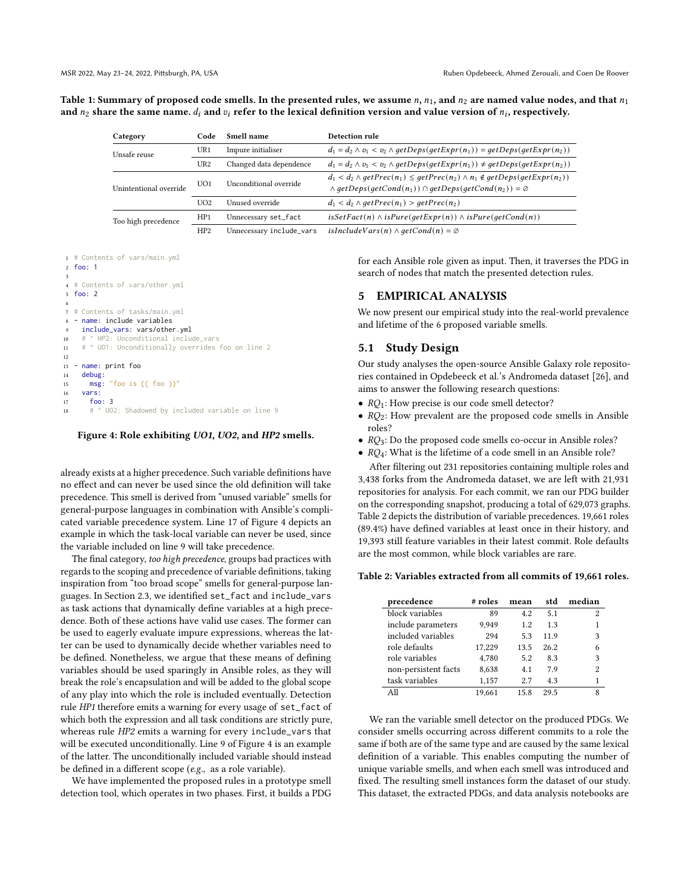<span id="page-5-0"></span>Table 1: Summary of proposed code smells. In the presented rules, we assume  $n$ ,  $n_1$ , and  $n_2$  are named value nodes, and that  $n_1$ and  $n_2$  share the same name.  $d_i$  and  $v_i$  refer to the lexical definition version and value version of  $n_i$ , respectively.

| Category               | Code            | Smell name               | Detection rule                                                                                                                                                                                   |
|------------------------|-----------------|--------------------------|--------------------------------------------------------------------------------------------------------------------------------------------------------------------------------------------------|
| Unsafe reuse           | UR1             | Impure initialiser       | $d_1 = d_2 \wedge v_1 < v_2 \wedge getDes(getExpr(n_1)) = getDeps(getExpr(n_2))$                                                                                                                 |
|                        | UR2             | Changed data dependence  | $d_1 = d_2 \wedge v_1 < v_2 \wedge getDes(getExpr(n_1)) \neq getDeps(getExpr(n_2))$                                                                                                              |
| Unintentional override | UO1             | Unconditional override   | $d_1 < d_2 \wedge getPrec(n_1) \leq getPrec(n_2) \wedge n_1 \notin getDeps(getExpr(n_2))$<br>$\wedge$ getDeps(getCond(n <sub>1</sub> )) $\cap$ getDeps(getCond(n <sub>2</sub> )) = $\varnothing$ |
|                        | U <sub>O2</sub> | Unused override          | $d_1 < d_2 \wedge getPrec(n_1) > getPrec(n_2)$                                                                                                                                                   |
| Too high precedence    | HP1             | Unnecessary set_fact     | $isSetFact(n) \wedge isPure(getExpr(n)) \wedge isPure(getCond(n))$                                                                                                                               |
|                        | HP2             | Unnecessary include_vars | $isIndudeVars(n) \wedge getCond(n) = \emptyset$                                                                                                                                                  |

```
1 # Contents of vars/main.yml
2 foo: 1
 3
4 # Contents of vars/other.yml
5 foo: 2
 6
  # Contents of tasks/main.yml
    name: include variables
9 include_vars: vars/other.yml<br>10 # ^ HP2: Unconditional inclue
     # ^ HP2: Unconditional include_vars
11 # ^ UO1: Unconditionally overrides foo on line 2
12
13 - name: print foo
14 debug:
15 msg: "foo is {{ foo }}"
16 vars:
17 foo: 3
18 # ^ UO2: Shadowed by included variable on line 9
```
Figure 4: Role exhibiting UO1, UO2, and HP2 smells.

already exists at a higher precedence. Such variable definitions have no effect and can never be used since the old definition will take precedence. This smell is derived from "unused variable" smells for general-purpose languages in combination with Ansible's complicated variable precedence system. Line 17 of Figure [4](#page-5-1) depicts an example in which the task-local variable can never be used, since the variable included on line 9 will take precedence.

The final category, too high precedence, groups bad practices with regards to the scoping and precedence of variable definitions, taking inspiration from "too broad scope" smells for general-purpose languages. In Section [2.3,](#page-2-3) we identified set\_fact and include\_vars as task actions that dynamically define variables at a high precedence. Both of these actions have valid use cases. The former can be used to eagerly evaluate impure expressions, whereas the latter can be used to dynamically decide whether variables need to be defined. Nonetheless, we argue that these means of defining variables should be used sparingly in Ansible roles, as they will break the role's encapsulation and will be added to the global scope of any play into which the role is included eventually. Detection rule HP1 therefore emits a warning for every usage of set\_fact of which both the expression and all task conditions are strictly pure, whereas rule HP2 emits a warning for every include\_vars that will be executed unconditionally. Line 9 of Figure [4](#page-5-1) is an example of the latter. The unconditionally included variable should instead be defined in a different scope (e.g., as a role variable).

We have implemented the proposed rules in a prototype smell detection tool, which operates in two phases. First, it builds a PDG for each Ansible role given as input. Then, it traverses the PDG in search of nodes that match the presented detection rules.

# 5 EMPIRICAL ANALYSIS

We now present our empirical study into the real-world prevalence and lifetime of the 6 proposed variable smells.

#### 5.1 Study Design

Our study analyses the open-source Ansible Galaxy role repositories contained in [Opdebeeck et al.'](#page-11-5)s Andromeda dataset [\[26\]](#page-11-5), and aims to answer the following research questions:

- $RQ_1$ : How precise is our code smell detector?
- $RQ_2$ : How prevalent are the proposed code smells in Ansible roles?
- $RQ_3$ : Do the proposed code smells co-occur in Ansible roles?
- $RQ_4$ : What is the lifetime of a code smell in an Ansible role?

After filtering out 231 repositories containing multiple roles and 3,438 forks from the Andromeda dataset, we are left with 21,931 repositories for analysis. For each commit, we ran our PDG builder on the corresponding snapshot, producing a total of 629,073 graphs. Table [2](#page-5-2) depicts the distribution of variable precedences. 19,661 roles (89.4%) have defined variables at least once in their history, and 19,393 still feature variables in their latest commit. Role defaults are the most common, while block variables are rare.

#### <span id="page-5-2"></span>Table 2: Variables extracted from all commits of 19,661 roles.

| precedence           | # roles | mean | std  | median |
|----------------------|---------|------|------|--------|
| block variables      | 89      | 4.2  | 5.1  | 2      |
| include parameters   | 9.949   | 1.2  | 1.3  |        |
| included variables   | 294     | 5.3  | 119  | 3      |
| role defaults        | 17,229  | 13.5 | 26.2 | 6      |
| role variables       | 4,780   | 5.2  | 8.3  | 3      |
| non-persistent facts | 8,638   | 4.1  | 7.9  | 2      |
| task variables       | 1,157   | 2.7  | 4.3  |        |
| All                  | 19.661  | 15.8 | 29.5 | Ջ      |

We ran the variable smell detector on the produced PDGs. We consider smells occurring across different commits to a role the same if both are of the same type and are caused by the same lexical definition of a variable. This enables computing the number of unique variable smells, and when each smell was introduced and fixed. The resulting smell instances form the dataset of our study. This dataset, the extracted PDGs, and data analysis notebooks are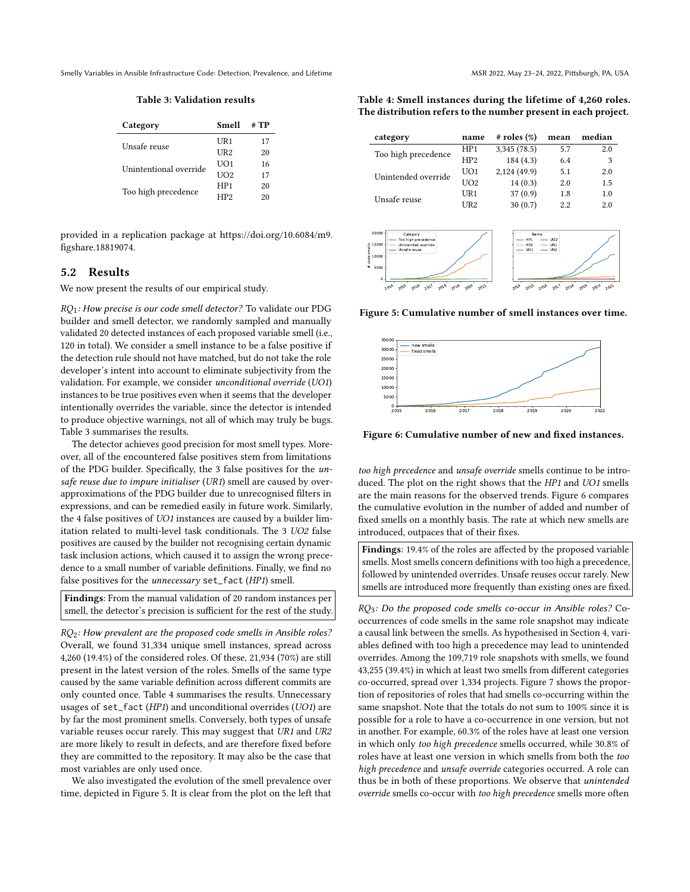Table 3: Validation results

<span id="page-6-0"></span>

| Category               | Smell           | # TP |
|------------------------|-----------------|------|
| Unsafe reuse           | $^{\rm I}$ IR1  | 17   |
|                        | UR2             | 20   |
| Unintentional override | UO1             | 16   |
|                        | U <sub>O2</sub> | 17   |
| Too high precedence    | HP1             | 20   |
|                        | HP <sub>2</sub> | 20   |

provided in a replication package at [https://doi.org/10.6084/m9.](https://doi.org/10.6084/m9.figshare.18819074) [figshare.18819074.](https://doi.org/10.6084/m9.figshare.18819074)

# 5.2 Results

We now present the results of our empirical study.

 $RQ_1$ : How precise is our code smell detector? To validate our PDG builder and smell detector, we randomly sampled and manually validated 20 detected instances of each proposed variable smell (i.e., 120 in total). We consider a smell instance to be a false positive if the detection rule should not have matched, but do not take the role developer's intent into account to eliminate subjectivity from the validation. For example, we consider unconditional override (UO1) instances to be true positives even when it seems that the developer intentionally overrides the variable, since the detector is intended to produce objective warnings, not all of which may truly be bugs. Table [3](#page-6-0) summarises the results.

The detector achieves good precision for most smell types. Moreover, all of the encountered false positives stem from limitations of the PDG builder. Specifically, the 3 false positives for the unsafe reuse due to impure initialiser (UR1) smell are caused by overapproximations of the PDG builder due to unrecognised filters in expressions, and can be remedied easily in future work. Similarly, the 4 false positives of UO1 instances are caused by a builder limitation related to multi-level task conditionals. The 3 UO2 false positives are caused by the builder not recognising certain dynamic task inclusion actions, which caused it to assign the wrong precedence to a small number of variable definitions. Finally, we find no false positives for the unnecessary set\_fact (HP1) smell.

Findings: From the manual validation of 20 random instances per smell, the detector's precision is sufficient for the rest of the study.

 $RQ_2$ : How prevalent are the proposed code smells in Ansible roles? Overall, we found 31,334 unique smell instances, spread across 4,260 (19.4%) of the considered roles. Of these, 21,934 (70%) are still present in the latest version of the roles. Smells of the same type caused by the same variable definition across different commits are only counted once. Table [4](#page-6-1) summarises the results. Unnecessary usages of set\_fact (HP1) and unconditional overrides (UO1) are by far the most prominent smells. Conversely, both types of unsafe variable reuses occur rarely. This may suggest that UR1 and UR2 are more likely to result in defects, and are therefore fixed before they are committed to the repository. It may also be the case that most variables are only used once.

We also investigated the evolution of the smell prevalence over time, depicted in Figure [5.](#page-6-2) It is clear from the plot on the left that

<span id="page-6-1"></span>Table 4: Smell instances during the lifetime of 4,260 roles. The distribution refers to the number present in each project.

| category            | name            | $#$ roles $(\%)$ | mean    | median |
|---------------------|-----------------|------------------|---------|--------|
| Too high precedence | HP1             | 3,345(78.5)      | 5.7     | 2.0    |
|                     | HP <sub>2</sub> | 184(4.3)         | 6.4     | 3      |
| Unintended override | UO1             | 2,124 (49.9)     | 5.1     | 2.0    |
|                     | UO2             | 14(0.3)          | 2.0     | 1.5    |
| Unsafe reuse        | UR1             | 37(0.9)          | 1.8     | 1.0    |
|                     | UR2             | 30(0.7)          | $2.2\,$ | 2.0    |

<span id="page-6-2"></span>

Figure 5: Cumulative number of smell instances over time.

<span id="page-6-3"></span>

Figure 6: Cumulative number of new and fixed instances.

too high precedence and unsafe override smells continue to be introduced. The plot on the right shows that the HP1 and UO1 smells are the main reasons for the observed trends. Figure [6](#page-6-3) compares the cumulative evolution in the number of added and number of fixed smells on a monthly basis. The rate at which new smells are introduced, outpaces that of their fixes.

Findings: 19.4% of the roles are affected by the proposed variable smells. Most smells concern definitions with too high a precedence, followed by unintended overrides. Unsafe reuses occur rarely. New smells are introduced more frequently than existing ones are fixed.

 $RQ_3$ : Do the proposed code smells co-occur in Ansible roles? Cooccurrences of code smells in the same role snapshot may indicate a causal link between the smells. As hypothesised in Section [4,](#page-4-0) variables defined with too high a precedence may lead to unintended overrides. Among the 109,719 role snapshots with smells, we found 43,255 (39.4%) in which at least two smells from different categories co-occurred, spread over 1,334 projects. Figure [7](#page-7-0) shows the proportion of repositories of roles that had smells co-occurring within the same snapshot. Note that the totals do not sum to 100% since it is possible for a role to have a co-occurrence in one version, but not in another. For example, 60.3% of the roles have at least one version in which only too high precedence smells occurred, while 30.8% of roles have at least one version in which smells from both the too high precedence and unsafe override categories occurred. A role can thus be in both of these proportions. We observe that unintended override smells co-occur with too high precedence smells more often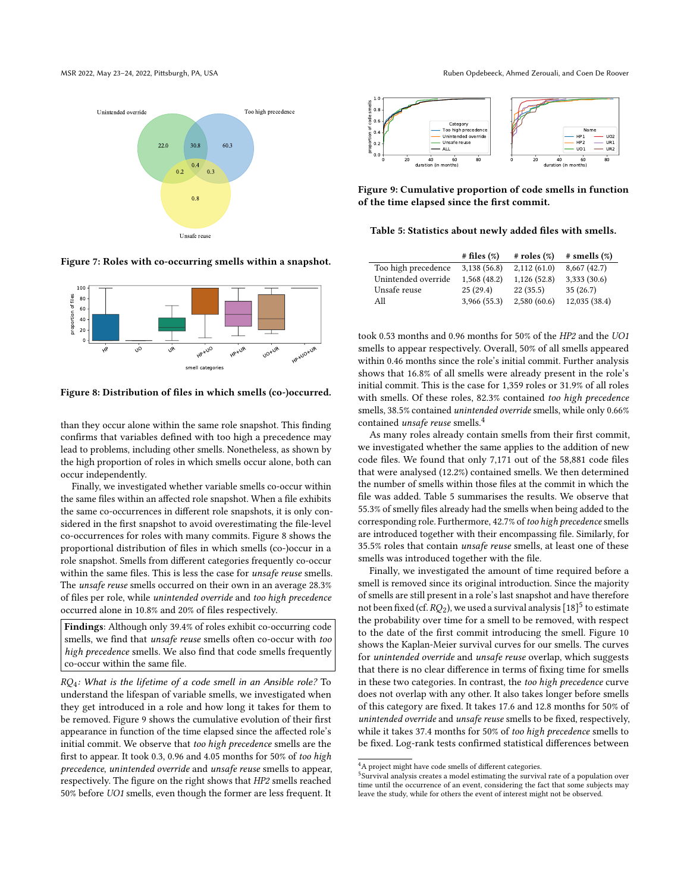<span id="page-7-0"></span>



Figure 7: Roles with co-occurring smells within a snapshot.

<span id="page-7-1"></span>

Figure 8: Distribution of files in which smells (co-)occurred.

than they occur alone within the same role snapshot. This finding confirms that variables defined with too high a precedence may lead to problems, including other smells. Nonetheless, as shown by the high proportion of roles in which smells occur alone, both can occur independently.

Finally, we investigated whether variable smells co-occur within the same files within an affected role snapshot. When a file exhibits the same co-occurrences in different role snapshots, it is only considered in the first snapshot to avoid overestimating the file-level co-occurrences for roles with many commits. Figure [8](#page-7-1) shows the proportional distribution of files in which smells (co-)occur in a role snapshot. Smells from different categories frequently co-occur within the same files. This is less the case for unsafe reuse smells. The unsafe reuse smells occurred on their own in an average 28.3% of files per role, while unintended override and too high precedence occurred alone in 10.8% and 20% of files respectively.

Findings: Although only 39.4% of roles exhibit co-occurring code smells, we find that unsafe reuse smells often co-occur with too high precedence smells. We also find that code smells frequently co-occur within the same file.

 $RQ_4$ : What is the lifetime of a code smell in an Ansible role? To understand the lifespan of variable smells, we investigated when they get introduced in a role and how long it takes for them to be removed. Figure [9](#page-7-2) shows the cumulative evolution of their first appearance in function of the time elapsed since the affected role's initial commit. We observe that too high precedence smells are the first to appear. It took 0.3, 0.96 and 4.05 months for 50% of too high precedence, unintended override and unsafe reuse smells to appear, respectively. The figure on the right shows that HP2 smells reached 50% before UO1 smells, even though the former are less frequent. It

<span id="page-7-2"></span>

Figure 9: Cumulative proportion of code smells in function of the time elapsed since the first commit.

<span id="page-7-4"></span>

|                     | # files (%)  | $#$ roles $(\%)$ | $#$ smells $(\%)$ |
|---------------------|--------------|------------------|-------------------|
| Too high precedence | 3,138(56.8)  | 2,112(61.0)      | 8,667(42.7)       |
| Unintended override | 1,568(48.2)  | 1,126(52.8)      | 3,333 (30.6)      |
| Unsafe reuse        | 25(29.4)     | 22(35.5)         | 35(26.7)          |
| All                 | 3,966 (55.3) | 2,580(60.6)      | 12,035 (38.4)     |

took 0.53 months and 0.96 months for 50% of the HP2 and the UO1 smells to appear respectively. Overall, 50% of all smells appeared within 0.46 months since the role's initial commit. Further analysis shows that 16.8% of all smells were already present in the role's initial commit. This is the case for 1,359 roles or 31.9% of all roles with smells. Of these roles, 82.3% contained too high precedence smells, 38.5% contained unintended override smells, while only 0.66% contained *unsafe reuse* smells.<sup>[4](#page-7-3)</sup>

As many roles already contain smells from their first commit, we investigated whether the same applies to the addition of new code files. We found that only 7,171 out of the 58,881 code files that were analysed (12.2%) contained smells. We then determined the number of smells within those files at the commit in which the file was added. Table [5](#page-7-4) summarises the results. We observe that 55.3% of smelly files already had the smells when being added to the corresponding role. Furthermore, 42.7% of too high precedence smells are introduced together with their encompassing file. Similarly, for 35.5% roles that contain unsafe reuse smells, at least one of these smells was introduced together with the file.

Finally, we investigated the amount of time required before a smell is removed since its original introduction. Since the majority of smells are still present in a role's last snapshot and have therefore not been fixed (cf.  $RQ_2$ ), we used a survival analysis [\[18\]](#page-11-6)  $^5$  $^5$  to estimate the probability over time for a smell to be removed, with respect to the date of the first commit introducing the smell. Figure [10](#page-8-0) shows the Kaplan-Meier survival curves for our smells. The curves for unintended override and unsafe reuse overlap, which suggests that there is no clear difference in terms of fixing time for smells in these two categories. In contrast, the too high precedence curve does not overlap with any other. It also takes longer before smells of this category are fixed. It takes 17.6 and 12.8 months for 50% of unintended override and unsafe reuse smells to be fixed, respectively, while it takes 37.4 months for 50% of too high precedence smells to be fixed. Log-rank tests confirmed statistical differences between

<span id="page-7-3"></span><sup>4</sup>A project might have code smells of different categories.

<span id="page-7-5"></span><sup>&</sup>lt;sup>5</sup>Survival analysis creates a model estimating the survival rate of a population over time until the occurrence of an event, considering the fact that some subjects may leave the study, while for others the event of interest might not be observed.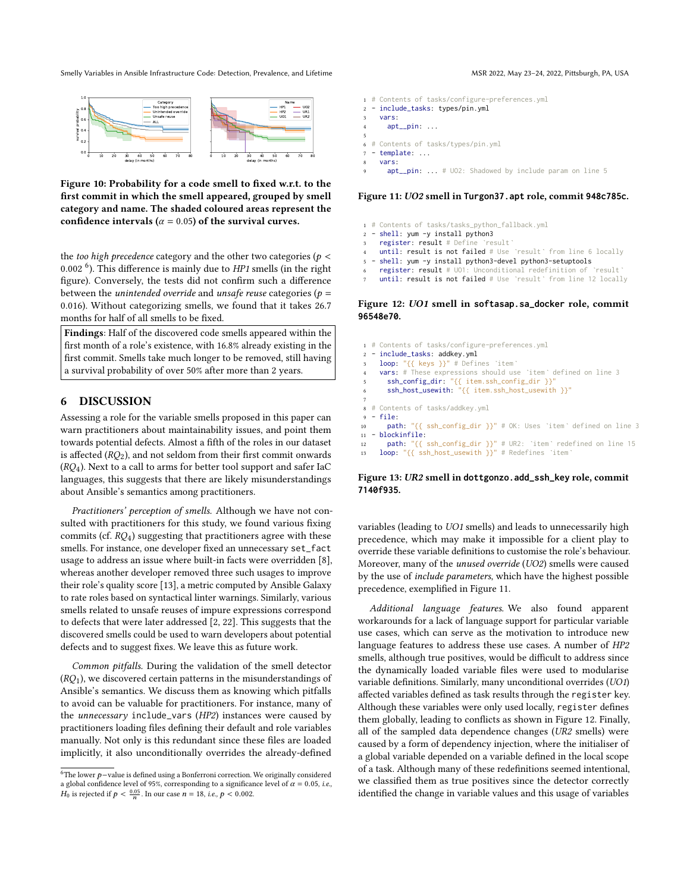<span id="page-8-0"></span>

Figure 10: Probability for a code smell to fixed w.r.t. to the first commit in which the smell appeared, grouped by smell category and name. The shaded coloured areas represent the confidence intervals ( $\alpha$  = 0.05) of the survival curves.

the too high precedence category and the other two categories ( $p <$ 0.002<sup>[6](#page-8-1)</sup>). This difference is mainly due to HP1 smells (in the right figure). Conversely, the tests did not confirm such a difference between the *unintended override* and *unsafe reuse* categories ( $p =$ 0.016). Without categorizing smells, we found that it takes 26.7 months for half of all smells to be fixed.

Findings: Half of the discovered code smells appeared within the first month of a role's existence, with 16.8% already existing in the first commit. Smells take much longer to be removed, still having a survival probability of over 50% after more than 2 years.

# 6 DISCUSSION

Assessing a role for the variable smells proposed in this paper can warn practitioners about maintainability issues, and point them towards potential defects. Almost a fifth of the roles in our dataset is affected  $(RO<sub>2</sub>)$ , and not seldom from their first commit onwards  $(RO<sub>4</sub>)$ . Next to a call to arms for better tool support and safer IaC languages, this suggests that there are likely misunderstandings about Ansible's semantics among practitioners.

Practitioners' perception of smells. Although we have not consulted with practitioners for this study, we found various fixing commits (cf.  $RQ_4$ ) suggesting that practitioners agree with these smells. For instance, one developer fixed an unnecessary set\_fact usage to address an issue where built-in facts were overridden [\[8\]](#page-10-6), whereas another developer removed three such usages to improve their role's quality score [\[13\]](#page-10-7), a metric computed by Ansible Galaxy to rate roles based on syntactical linter warnings. Similarly, various smells related to unsafe reuses of impure expressions correspond to defects that were later addressed [\[2,](#page-10-5) [22\]](#page-11-7). This suggests that the discovered smells could be used to warn developers about potential defects and to suggest fixes. We leave this as future work.

Common pitfalls. During the validation of the smell detector  $(RQ<sub>1</sub>)$ , we discovered certain patterns in the misunderstandings of Ansible's semantics. We discuss them as knowing which pitfalls to avoid can be valuable for practitioners. For instance, many of the unnecessary include\_vars (HP2) instances were caused by practitioners loading files defining their default and role variables manually. Not only is this redundant since these files are loaded implicitly, it also unconditionally overrides the already-defined

- <span id="page-8-2"></span>1 # Contents of tasks/configure-preferences.yml
- 2 include\_tasks: types/pin.yml
- 3 vars:  $a$ nt $p$ in: ...
- 5
- 6 # Contents of tasks/types/pin.yml
- template: ...
- vars:
- apt  $pin: ... # U02: Shadowed by include param on line 5$

#### Figure 11: UO2 smell in **Turgon37.apt** role, commit **948c785c**.

- <span id="page-8-3"></span>1 # Contents of tasks/tasks\_python\_fallback.yml
- 2 shell: yum -y install python3
- register: result # Define `result
- until: result is not failed # Use `result` from line 6 locally
- 5 shell: yum -y install python3-devel python3-setuptools
- register: result # UO1: Unconditional redefinition of `result`
- until: result is not failed # Use `result` from line 12 locally

#### Figure 12: UO1 smell in **softasap.sa\_docker** role, commit **96548e70**.

<span id="page-8-4"></span> # Contents of tasks/configure-preferences.yml - include\_tasks: addkey.yml 3 loop: " ${1 \choose 1}$ " # Defines `item vars: # These expressions should use `item` defined on line 3 5 ssh\_config\_dir: "{{ item.ssh\_config\_dir }}" 6 ssh\_host\_usewith: "{{ item.ssh\_host\_usewith }}" 8 # Contents of tasks/addkey.yml 9 - file: path: "{{ ssh\_config\_dir }}" # OK: Uses `item` defined on line 3 - blockinfile: path: "{{ ssh\_config\_dir }}" # UR2: `item` redefined on line 15 loop: " $\{ \{ \text{ssh\_host\_usewith } \} \}$ " # Redefines `item

#### Figure 13: UR2 smell in **dottgonzo.add\_ssh\_key** role, commit **7140f935**.

variables (leading to UO1 smells) and leads to unnecessarily high precedence, which may make it impossible for a client play to override these variable definitions to customise the role's behaviour. Moreover, many of the unused override (UO2) smells were caused by the use of include parameters, which have the highest possible precedence, exemplified in Figure [11.](#page-8-2)

Additional language features. We also found apparent workarounds for a lack of language support for particular variable use cases, which can serve as the motivation to introduce new language features to address these use cases. A number of HP2 smells, although true positives, would be difficult to address since the dynamically loaded variable files were used to modularise variable definitions. Similarly, many unconditional overrides (UO1) affected variables defined as task results through the register key. Although these variables were only used locally, register defines them globally, leading to conflicts as shown in Figure [12.](#page-8-3) Finally, all of the sampled data dependence changes (UR2 smells) were caused by a form of dependency injection, where the initialiser of a global variable depended on a variable defined in the local scope of a task. Although many of these redefinitions seemed intentional, we classified them as true positives since the detector correctly identified the change in variable values and this usage of variables

<span id="page-8-1"></span> $^6\!{\rm The}$  lower  $p-$  value is defined using a Bonferroni correction. We originally considered a global confidence level of 95%, corresponding to a significance level of  $\alpha = 0.05$ , i.e.,  $H_0$  is rejected if  $p < \frac{0.05}{n}$ . In our case  $n = 18$ , i.e.,  $p < 0.002$ .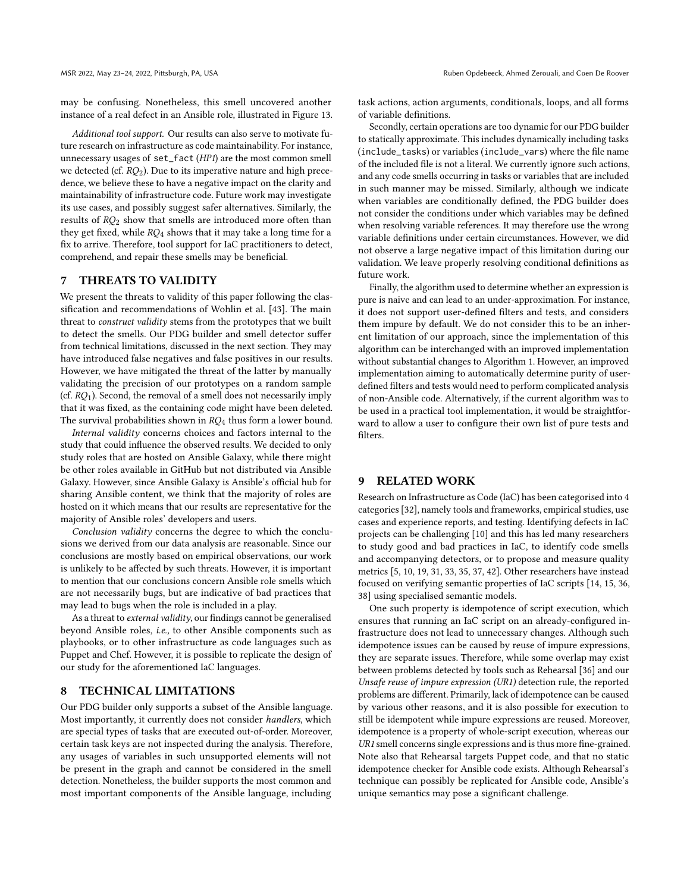may be confusing. Nonetheless, this smell uncovered another instance of a real defect in an Ansible role, illustrated in Figure [13.](#page-8-4)

Additional tool support. Our results can also serve to motivate future research on infrastructure as code maintainability. For instance, unnecessary usages of set\_fact (HP1) are the most common smell we detected (cf.  $RQ_2$ ). Due to its imperative nature and high precedence, we believe these to have a negative impact on the clarity and maintainability of infrastructure code. Future work may investigate its use cases, and possibly suggest safer alternatives. Similarly, the results of  $RO<sub>2</sub>$  show that smells are introduced more often than they get fixed, while  $RQ_4$  shows that it may take a long time for a fix to arrive. Therefore, tool support for IaC practitioners to detect, comprehend, and repair these smells may be beneficial.

# 7 THREATS TO VALIDITY

We present the threats to validity of this paper following the classification and recommendations of Wohlin et al. [\[43\]](#page-11-8). The main threat to construct validity stems from the prototypes that we built to detect the smells. Our PDG builder and smell detector suffer from technical limitations, discussed in the next section. They may have introduced false negatives and false positives in our results. However, we have mitigated the threat of the latter by manually validating the precision of our prototypes on a random sample (cf.  $RQ_1$ ). Second, the removal of a smell does not necessarily imply that it was fixed, as the containing code might have been deleted. The survival probabilities shown in  $RQ_4$  thus form a lower bound.

Internal validity concerns choices and factors internal to the study that could influence the observed results. We decided to only study roles that are hosted on Ansible Galaxy, while there might be other roles available in GitHub but not distributed via Ansible Galaxy. However, since Ansible Galaxy is Ansible's official hub for sharing Ansible content, we think that the majority of roles are hosted on it which means that our results are representative for the majority of Ansible roles' developers and users.

Conclusion validity concerns the degree to which the conclusions we derived from our data analysis are reasonable. Since our conclusions are mostly based on empirical observations, our work is unlikely to be affected by such threats. However, it is important to mention that our conclusions concern Ansible role smells which are not necessarily bugs, but are indicative of bad practices that may lead to bugs when the role is included in a play.

As a threat to external validity, our findings cannot be generalised beyond Ansible roles, i.e., to other Ansible components such as playbooks, or to other infrastructure as code languages such as Puppet and Chef. However, it is possible to replicate the design of our study for the aforementioned IaC languages.

# 8 TECHNICAL LIMITATIONS

Our PDG builder only supports a subset of the Ansible language. Most importantly, it currently does not consider handlers, which are special types of tasks that are executed out-of-order. Moreover, certain task keys are not inspected during the analysis. Therefore, any usages of variables in such unsupported elements will not be present in the graph and cannot be considered in the smell detection. Nonetheless, the builder supports the most common and most important components of the Ansible language, including

task actions, action arguments, conditionals, loops, and all forms of variable definitions.

Secondly, certain operations are too dynamic for our PDG builder to statically approximate. This includes dynamically including tasks (include\_tasks) or variables (include\_vars) where the file name of the included file is not a literal. We currently ignore such actions, and any code smells occurring in tasks or variables that are included in such manner may be missed. Similarly, although we indicate when variables are conditionally defined, the PDG builder does not consider the conditions under which variables may be defined when resolving variable references. It may therefore use the wrong variable definitions under certain circumstances. However, we did not observe a large negative impact of this limitation during our validation. We leave properly resolving conditional definitions as future work.

Finally, the algorithm used to determine whether an expression is pure is naive and can lead to an under-approximation. For instance, it does not support user-defined filters and tests, and considers them impure by default. We do not consider this to be an inherent limitation of our approach, since the implementation of this algorithm can be interchanged with an improved implementation without substantial changes to Algorithm [1.](#page-3-0) However, an improved implementation aiming to automatically determine purity of userdefined filters and tests would need to perform complicated analysis of non-Ansible code. Alternatively, if the current algorithm was to be used in a practical tool implementation, it would be straightforward to allow a user to configure their own list of pure tests and filters.

#### 9 RELATED WORK

Research on Infrastructure as Code (IaC) has been categorised into 4 categories [\[32\]](#page-11-9), namely tools and frameworks, empirical studies, use cases and experience reports, and testing. Identifying defects in IaC projects can be challenging [\[10\]](#page-10-2) and this has led many researchers to study good and bad practices in IaC, to identify code smells and accompanying detectors, or to propose and measure quality metrics [\[5,](#page-10-8) [10,](#page-10-2) [19,](#page-11-10) [31,](#page-11-2) [33,](#page-11-11) [35,](#page-11-12) [37,](#page-11-13) [42\]](#page-11-14). Other researchers have instead focused on verifying semantic properties of IaC scripts [\[14,](#page-10-9) [15,](#page-10-10) [36,](#page-11-15) [38\]](#page-11-16) using specialised semantic models.

One such property is idempotence of script execution, which ensures that running an IaC script on an already-configured infrastructure does not lead to unnecessary changes. Although such idempotence issues can be caused by reuse of impure expressions, they are separate issues. Therefore, while some overlap may exist between problems detected by tools such as Rehearsal [\[36\]](#page-11-15) and our Unsafe reuse of impure expression (UR1) detection rule, the reported problems are different. Primarily, lack of idempotence can be caused by various other reasons, and it is also possible for execution to still be idempotent while impure expressions are reused. Moreover, idempotence is a property of whole-script execution, whereas our UR1 smell concerns single expressions and is thus more fine-grained. Note also that Rehearsal targets Puppet code, and that no static idempotence checker for Ansible code exists. Although Rehearsal's technique can possibly be replicated for Ansible code, Ansible's unique semantics may pose a significant challenge.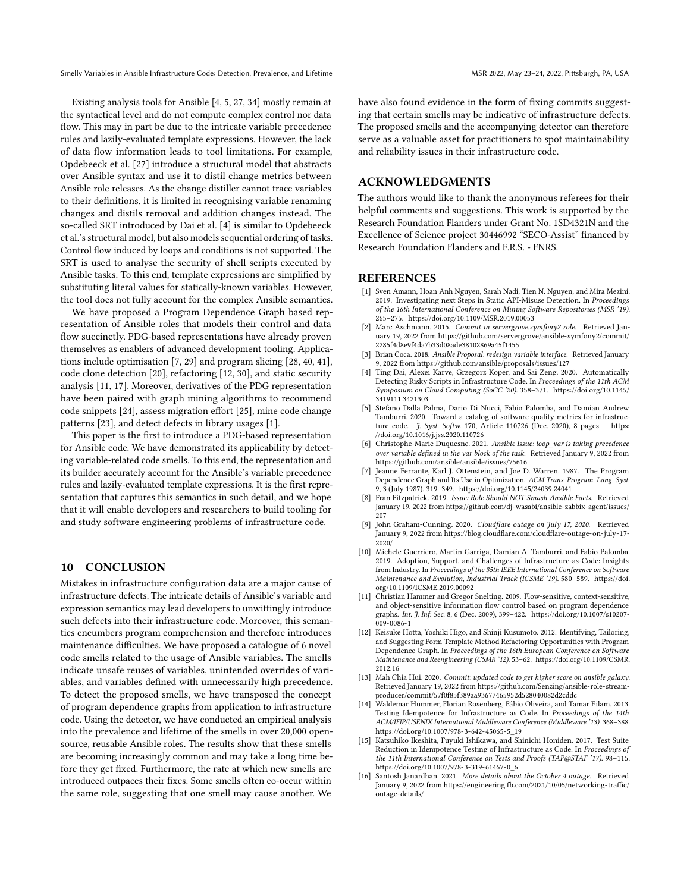Existing analysis tools for Ansible [\[4,](#page-10-11) [5,](#page-10-8) [27,](#page-11-4) [34\]](#page-11-17) mostly remain at the syntactical level and do not compute complex control nor data flow. This may in part be due to the intricate variable precedence rules and lazily-evaluated template expressions. However, the lack of data flow information leads to tool limitations. For example, Opdebeeck et al. [\[27\]](#page-11-4) introduce a structural model that abstracts over Ansible syntax and use it to distil change metrics between Ansible role releases. As the change distiller cannot trace variables to their definitions, it is limited in recognising variable renaming changes and distils removal and addition changes instead. The so-called SRT introduced by Dai et al. [\[4\]](#page-10-11) is similar to [Opdebeeck](#page-11-4) [et al.'](#page-11-4)s structural model, but also models sequential ordering of tasks. Control flow induced by loops and conditions is not supported. The SRT is used to analyse the security of shell scripts executed by Ansible tasks. To this end, template expressions are simplified by substituting literal values for statically-known variables. However, the tool does not fully account for the complex Ansible semantics.

We have proposed a Program Dependence Graph based representation of Ansible roles that models their control and data flow succinctly. PDG-based representations have already proven themselves as enablers of advanced development tooling. Applications include optimisation [\[7,](#page-10-12) [29\]](#page-11-18) and program slicing [\[28,](#page-11-19) [40,](#page-11-20) [41\]](#page-11-21), code clone detection [\[20\]](#page-11-22), refactoring [\[12,](#page-10-13) [30\]](#page-11-23), and static security analysis [\[11,](#page-10-14) [17\]](#page-11-24). Moreover, derivatives of the PDG representation have been paired with graph mining algorithms to recommend code snippets [\[24\]](#page-11-25), assess migration effort [\[25\]](#page-11-26), mine code change patterns [\[23\]](#page-11-27), and detect defects in library usages [\[1\]](#page-10-15).

This paper is the first to introduce a PDG-based representation for Ansible code. We have demonstrated its applicability by detecting variable-related code smells. To this end, the representation and its builder accurately account for the Ansible's variable precedence rules and lazily-evaluated template expressions. It is the first representation that captures this semantics in such detail, and we hope that it will enable developers and researchers to build tooling for and study software engineering problems of infrastructure code.

#### 10 CONCLUSION

Mistakes in infrastructure configuration data are a major cause of infrastructure defects. The intricate details of Ansible's variable and expression semantics may lead developers to unwittingly introduce such defects into their infrastructure code. Moreover, this semantics encumbers program comprehension and therefore introduces maintenance difficulties. We have proposed a catalogue of 6 novel code smells related to the usage of Ansible variables. The smells indicate unsafe reuses of variables, unintended overrides of variables, and variables defined with unnecessarily high precedence. To detect the proposed smells, we have transposed the concept of program dependence graphs from application to infrastructure code. Using the detector, we have conducted an empirical analysis into the prevalence and lifetime of the smells in over 20,000 opensource, reusable Ansible roles. The results show that these smells are becoming increasingly common and may take a long time before they get fixed. Furthermore, the rate at which new smells are introduced outpaces their fixes. Some smells often co-occur within the same role, suggesting that one smell may cause another. We

have also found evidence in the form of fixing commits suggesting that certain smells may be indicative of infrastructure defects. The proposed smells and the accompanying detector can therefore serve as a valuable asset for practitioners to spot maintainability and reliability issues in their infrastructure code.

# ACKNOWLEDGMENTS

The authors would like to thank the anonymous referees for their helpful comments and suggestions. This work is supported by the Research Foundation Flanders under Grant No. 1SD4321N and the Excellence of Science project 30446992 "SECO-Assist" financed by Research Foundation Flanders and F.R.S. - FNRS.

# REFERENCES

- <span id="page-10-15"></span>[1] Sven Amann, Hoan Anh Nguyen, Sarah Nadi, Tien N. Nguyen, and Mira Mezini. 2019. Investigating next Steps in Static API-Misuse Detection. In Proceedings of the 16th International Conference on Mining Software Repositories (MSR '19). 265–275.<https://doi.org/10.1109/MSR.2019.00053>
- <span id="page-10-5"></span>[2] Marc Aschmann. 2015. Commit in servergrove.symfony2 role. Retrieved January 19, 2022 from [https://github.com/servergrove/ansible-symfony2/commit/](https://github.com/servergrove/ansible-symfony2/commit/2285f4d8e9f4da7b33d08ade38102869a45f1455) [2285f4d8e9f4da7b33d08ade38102869a45f1455](https://github.com/servergrove/ansible-symfony2/commit/2285f4d8e9f4da7b33d08ade38102869a45f1455)
- <span id="page-10-3"></span>Brian Coca. 2018. Ansible Proposal: redesign variable interface. Retrieved January 9, 2022 from<https://github.com/ansible/proposals/issues/127>
- <span id="page-10-11"></span>[4] Ting Dai, Alexei Karve, Grzegorz Koper, and Sai Zeng. 2020. Automatically Detecting Risky Scripts in Infrastructure Code. In Proceedings of the 11th ACM Symposium on Cloud Computing (SoCC '20). 358–371. [https://doi.org/10.1145/](https://doi.org/10.1145/3419111.3421303) [3419111.3421303](https://doi.org/10.1145/3419111.3421303)
- <span id="page-10-8"></span>[5] Stefano Dalla Palma, Dario Di Nucci, Fabio Palomba, and Damian Andrew Tamburri. 2020. Toward a catalog of software quality metrics for infrastruc-ture code. J. Syst. Softw. 170, Article 110726 (Dec. 2020), 8 pages. [https:](https://doi.org/10.1016/j.jss.2020.110726) [//doi.org/10.1016/j.jss.2020.110726](https://doi.org/10.1016/j.jss.2020.110726)
- <span id="page-10-4"></span>[6] Christophe-Marie Duquesne. 2021. Ansible Issue: loop\_var is taking precedence over variable defined in the var block of the task. Retrieved January 9, 2022 from <https://github.com/ansible/ansible/issues/75616>
- <span id="page-10-12"></span>Jeanne Ferrante, Karl J. Ottenstein, and Joe D. Warren. 1987. The Program Dependence Graph and Its Use in Optimization. ACM Trans. Program. Lang. Syst. 9, 3 (July 1987), 319–349.<https://doi.org/10.1145/24039.24041>
- <span id="page-10-6"></span>[8] Fran Fitzpatrick. 2019. Issue: Role Should NOT Smash Ansible Facts. Retrieved January 19, 2022 from [https://github.com/dj-wasabi/ansible-zabbix-agent/issues/](https://github.com/dj-wasabi/ansible-zabbix-agent/issues/207) [207](https://github.com/dj-wasabi/ansible-zabbix-agent/issues/207)
- <span id="page-10-0"></span>[9] John Graham-Cunning. 2020. Cloudflare outage on July 17, 2020. Retrieved January 9, 2022 from [https://blog.cloudflare.com/cloudflare-outage-on-july-17-](https://blog.cloudflare.com/cloudflare-outage-on-july-17-2020/) [2020/](https://blog.cloudflare.com/cloudflare-outage-on-july-17-2020/)
- <span id="page-10-2"></span>[10] Michele Guerriero, Martin Garriga, Damian A. Tamburri, and Fabio Palomba. 2019. Adoption, Support, and Challenges of Infrastructure-as-Code: Insights from Industry. In Proceedings of the 35th IEEE International Conference on Software Maintenance and Evolution, Industrial Track (ICSME '19). 580–589. [https://doi.](https://doi.org/10.1109/ICSME.2019.00092) [org/10.1109/ICSME.2019.00092](https://doi.org/10.1109/ICSME.2019.00092)
- <span id="page-10-14"></span>[11] Christian Hammer and Gregor Snelting. 2009. Flow-sensitive, context-sensitive, and object-sensitive information flow control based on program dependence graphs. Int. J. Inf. Sec. 8, 6 (Dec. 2009), 399–422. [https://doi.org/10.1007/s10207-](https://doi.org/10.1007/s10207-009-0086-1) [009-0086-1](https://doi.org/10.1007/s10207-009-0086-1)
- <span id="page-10-13"></span>[12] Keisuke Hotta, Yoshiki Higo, and Shinji Kusumoto. 2012. Identifying, Tailoring, and Suggesting Form Template Method Refactoring Opportunities with Program Dependence Graph. In Proceedings of the 16th European Conference on Software Maintenance and Reengineering (CSMR '12). 53–62. [https://doi.org/10.1109/CSMR.](https://doi.org/10.1109/CSMR.2012.16) [2012.16](https://doi.org/10.1109/CSMR.2012.16)
- <span id="page-10-7"></span>[13] Mah Chia Hui. 2020. Commit: updated code to get higher score on ansible galaxy. Retrieved January 19, 2022 from [https://github.com/Senzing/ansible-role-stream](https://github.com/Senzing/ansible-role-stream-producer/commit/57f0f85f389aa93677465952d528040082d2cddc)[producer/commit/57f0f85f389aa93677465952d528040082d2cddc](https://github.com/Senzing/ansible-role-stream-producer/commit/57f0f85f389aa93677465952d528040082d2cddc)
- <span id="page-10-9"></span>[14] Waldemar Hummer, Florian Rosenberg, Fábio Oliveira, and Tamar Eilam. 2013. Testing Idempotence for Infrastructure as Code. In Proceedings of the 14th ACM/IFIP/USENIX International Middleware Conference (Middleware '13). 368–388. [https://doi.org/10.1007/978-3-642-45065-5\\_19](https://doi.org/10.1007/978-3-642-45065-5_19)
- <span id="page-10-10"></span>[15] Katsuhiko Ikeshita, Fuyuki Ishikawa, and Shinichi Honiden. 2017. Test Suite Reduction in Idempotence Testing of Infrastructure as Code. In Proceedings of the 11th International Conference on Tests and Proofs (TAP@STAF '17). 98–115. [https://doi.org/10.1007/978-3-319-61467-0\\_6](https://doi.org/10.1007/978-3-319-61467-0_6)
- <span id="page-10-1"></span>[16] Santosh Janardhan. 2021. More details about the October 4 outage. Retrieved January 9, 2022 from [https://engineering.fb.com/2021/10/05/networking-traffic/](https://engineering.fb.com/2021/10/05/networking-traffic/outage-details/) [outage-details/](https://engineering.fb.com/2021/10/05/networking-traffic/outage-details/)